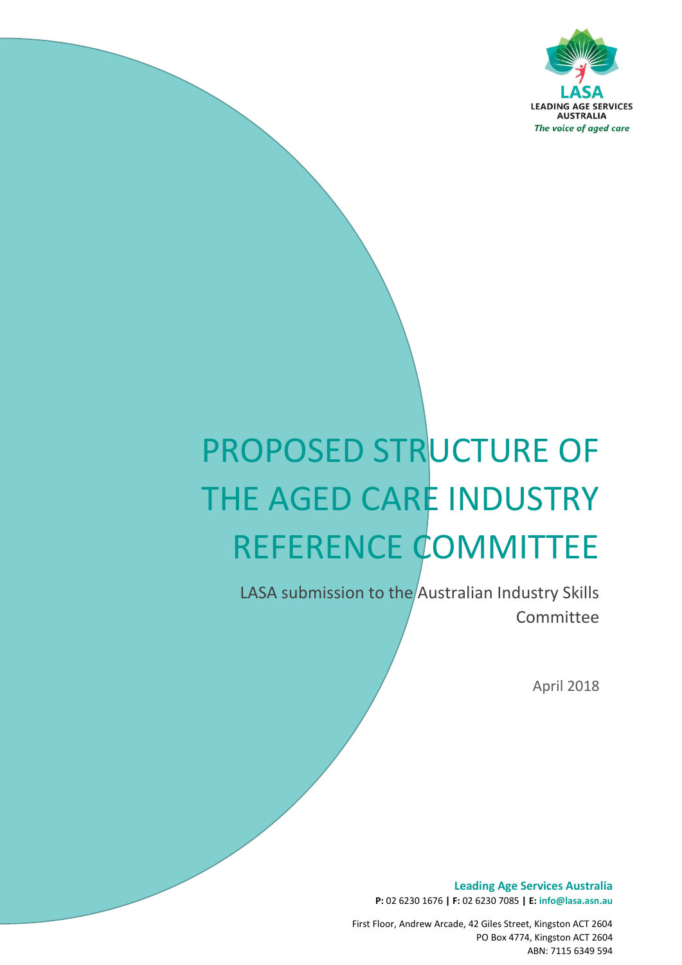

# PROPOSED STRUCTURE OF THE AGED CARE INDUSTRY REFERENCE COMMITTEE

LASA submission to the Australian Industry Skills **Committee** 

*The voice of aged care*

April 2018

**Leading Age Services Australia P:** 02 6230 1676 **| F:** 02 6230 7085 **| E: info@lasa.asn.au**

First Floor, Andrew Arcade, 42 Giles Street, Kingston ACT 2604 PO Box 4774, Kingston ACT 2604 ABN: 7115 6349 594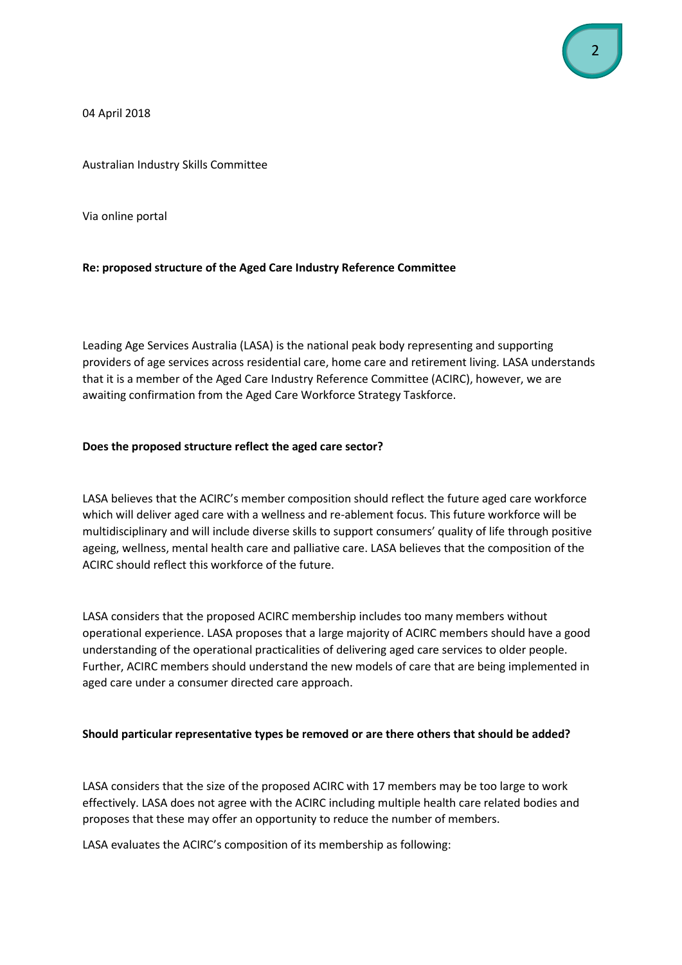04 April 2018

Australian Industry Skills Committee

Via online portal

### **Re: proposed structure of the Aged Care Industry Reference Committee**

Leading Age Services Australia (LASA) is the national peak body representing and supporting providers of age services across residential care, home care and retirement living. LASA understands that it is a member of the Aged Care Industry Reference Committee (ACIRC), however, we are awaiting confirmation from the Aged Care Workforce Strategy Taskforce.

### **Does the proposed structure reflect the aged care sector?**

LASA believes that the ACIRC's member composition should reflect the future aged care workforce which will deliver aged care with a wellness and re-ablement focus. This future workforce will be multidisciplinary and will include diverse skills to support consumers' quality of life through positive ageing, wellness, mental health care and palliative care. LASA believes that the composition of the ACIRC should reflect this workforce of the future.

LASA considers that the proposed ACIRC membership includes too many members without operational experience. LASA proposes that a large majority of ACIRC members should have a good understanding of the operational practicalities of delivering aged care services to older people. Further, ACIRC members should understand the new models of care that are being implemented in aged care under a consumer directed care approach.

### **Should particular representative types be removed or are there others that should be added?**

LASA considers that the size of the proposed ACIRC with 17 members may be too large to work effectively. LASA does not agree with the ACIRC including multiple health care related bodies and proposes that these may offer an opportunity to reduce the number of members.

LASA evaluates the ACIRC's composition of its membership as following: